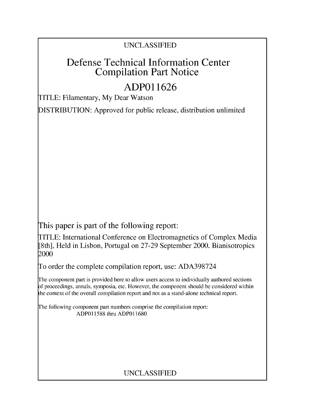### UNCLASSIFIED

## Defense Technical Information Center Compilation Part Notice

# **ADPO 11626**

TITLE: Filamentary, My Dear Watson

DISTRIBUTION: Approved for public release, distribution unlimited

This paper is part of the following report:

TITLE: International Conference on Electromagnetics of Complex Media [8th], Held in Lisbon, Portugal on 27-29 September 2000. Bianisotropics 2000

To order the complete compilation report, use: ADA398724

The component part is provided here to allow users access to individually authored sections f proceedings, annals, symposia, etc. However, the component should be considered within [he context of the overall compilation report and not as a stand-alone technical report.

The following component part numbers comprise the compilation report: ADP011588 thru ADP011680

### UNCLASSIFIED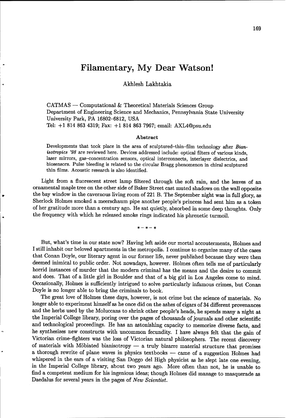### Filamentary, **My** Dear Watson!

Akhlesh Lakhtakia

CATMAS - Computational & Theoretical Materials Sciences Group Department of Engineering Science and Mechanics, Pennsylvania State University University Park, PA 16802-6812, USA Tel: **+1** 814 863 4319; Fax: **+1** 814 863 7967; email: AXL4@psu.edu

#### Abstract

Developments that took place in the area of sculptured-thin-film technology after Bian*isotropics '98* are reviewed here. Devices addressed include: optical filters of various kinds, laser mirrors, gas-concentration sensors, optical interconnects, interlayer dielectrics, and biosensors. Pulse bleeding is related to the circular Bragg phenomenon in chiral sculptured thin films. Acoustic research is also identified.

Light from a fluorescent street lamp filtered through the soft rain, and the leaves of an ornamental maple tree on the other side of Baker Street cast muted shadows on the wall opposite the bay window in the cavernous living room of 221 B. The September night was in full glory, as Sherlock Holmes smoked a meerschaum pipe another people's princess had sent him as a token of her gratitude more than a century ago. He sat quietly, absorbed in some deep thoughts. Only the frequency with which he released smoke rings indicated his phrenetic turmoil.

 $* - * - *$ 

But, what's time in our state now? Having left aside our mortal accouterments, Holmes and I still inhabit our beloved apartments in the metropolis. I continue to organize many of the cases that Conan Doyle, our literary agent in our former life, never published because they were then deemed inimical to public order. Not nowadays, however. Holmes often tells me of particularly horrid instances of murder that the modern criminal has the means and the desire to commit and does. That of a little girl in Boulder and that of a big girl in Los Angeles come to mind. Occasionally, Holmes is sufficiently intrigued to solve particularly infamous crimes, but Conan Doyle is no longer able to bring the criminals to book.

The great love of Holmes these days, however, is not crime but the science of materials. No longer able to experiment himself as he once did on the ashes of cigars of 34 different provenances and the herbs used by the Moluccans to shrink other people's heads, he spends many a night at the Imperial College library, poring over the pages of thousands of journals and other scientific and technological proceedings. He has an astonishing capacity to memorize diverse facts, and he synthesizes new constructs with uncommon fecundity. I have always felt that the gain of Victorian crime-fighters was the loss of Victorian natural philosophers. The recent discovery of materials with Möbiated bianisotropy  $-$  a truly bizarre material structure that promises a thorough rewrite of plane waves in physics textbooks - came of a suggestion Holmes had whispered in the ears of a visiting San Doggo del High physicist as he slept late one evening, in the Imperial College library, about two years ago. More often than not, he is unable to find a competent medium for his ingenious ideas; though Holmes did manage to masquerade as Daedalus for several years in the pages of *New Scientist.*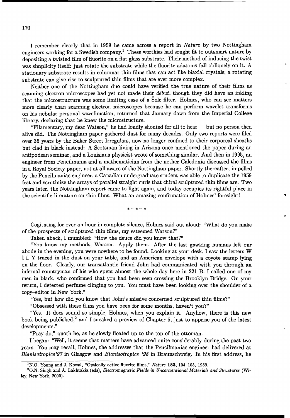I remember clearly that in 1959 he came across a report in Nature by two Nottingham engineers working for a Swedish company.<sup>1</sup> These worthies had sought fit to outsmart nature by depositing a twisted film of fluorite on a flat glass substrate. Their method of inducing the twist was simplicity itself: just rotate the substrate while the fluorite adatoms fall obliquely on it. A stationary substrate results in columnar thin films that can act like biaxial crystals; a rotating substrate can give rise to sculptured thin films that are ever more complex.

Neither one of the Nottingham duo could have verified the true nature of their films as scanning electron microscopes had yet not made their  $d\acute{e}but$ , though they did have an inkling that the microstructure was some limiting case of a Solc filter. Holmes, who can see matters more clearly than scanning electron microscopes because he can perform wavelet transforms on his nebular personal wavefunction, returned that January dawn from the Imperial College library, declaring that he knew the microstructure.

"Filamentary, my dear Watson," he had loudly shouted for all to hear  $-$  but no person then alive did. The Nottingham paper gathered dust for many decades. Only two reports were filed over 35 years by the Baker Street Irregulars, now no longer confined to their corporeal sheaths but clad in black instead: A Scotsman living in Arizona once mentioned the paper during an antipodean seminar, and a Louisiana physicist wrote of something similar. And then in 1995, an engineer from Pencilmania and a mathematician from the nether Caledonia discussed the films in a Royal Society paper, not at all aware of the Nottingham paper. Shortly thereafter, impelled by the Pencilmaniac engineer, a Canadian undergraduate student was able to duplicate the 1959 feat and scrutinize the arrays of parallel straight curls that chiral sculptured thin films are. Two years later, the Nottingham report came to light again, and today occupies its rightful place in the scientific literature on thin films. What an amazing confirmation of Holmes' foresight!

 $* - * - *$ 

Cogitating for over an hour in complete silence, Holmes said out aloud: "What do you make of the prospects of sculptured thin films, my esteemed Watson?"

Taken aback, I mumbled: "How the deuce did you know that?"

"You know my methods, Watson. Apply them. After the last gawking humans left our abode in the evening, you were nowhere to be found. Looking at your desk, I saw the letters W I L Y traced in the dust on your table, and an American envelope with a coyote stamp lying on the floor. Clearly, our transatlantic friend John had communicated with you through an infernal countryman of his who spent almost the whole day here in 221 B. I called one of my men in black, who confirmed that you had been seen crossing the Brooklyn Bridge. On your return, I detected perfume clinging to you. You must have been looking over the shoulder of a copy-editor in New York."

"Yes, but how did you know that John's missive concerned sculptured thin films?"

"Obsessed with these films you have been for some months, haven't you?"

"Yes. It does sound so simple, Holmes, when you explain it. Anyhow, there is this new book being published,<sup>2</sup> and I sneaked a preview of Chapter 5, just to apprise you of the latest developments."

"Pray do," quoth he, as he slowly floated up to the top of the ottoman.

I began: "Well, it seems that matters have advanced quite considerably during the past two years. You may recall, Holmes, the addresses that the Pencilmaniac engineer had delivered at *Bianisotropics'97* in Glasgow and *Bianisotropics '98* in Braunschweig. In his first address, he

<sup>&</sup>lt;sup>1</sup>N.O. Young and J. Kowal, "Optically active fluorite films," Nature 183, 104-105, 1959.<br><sup>2</sup>O.N. Singh and A. Lakhtakia (eds), *Electromagnetic Fields in Unconventional Materials and Structures* (Wiley, New York, 2000).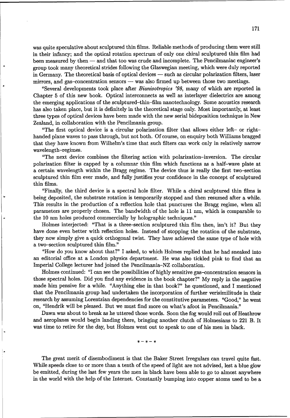was quite speculative about sculptured thin films. Reliable methods of producing them were still in their infancy; and the optical rotation spectrum of only one chiral sculptured thin film had been measured by then — and that too was crude and incomplete. The Pencilmaniac engineer's group took many theoretical strides following the Glaswegian meeting, which were duly reported in Germany. The theoretical basis of optical devices — such as circular polarization filters, laser mirrors, and gas-concentration sensors - was also firmed up between those two meetings.

"Several developments took place after *Bianisotropics '98,* many of which are reported in Chapter 5 of this new book. Optical interconnects as well as interlayer dielectrics are among the emerging applications of the sculptured-thin-film nanotechnology. Some acoustics research has also taken place, but it is definitely in the theoretical stage only. Most importantly, at least three types of optical devices have been made with the new serial bideposition technique in New Zealand, in collaboration with the Pencilmania group.

"The first optical device is a circular polarization filter that allows either left- or righthanded plane waves to pass through, but not both. Of course, on enquiry both Williams bragged that they have known from Wilhelm's time that such filters can work only in relatively narrow wavelength-regimes.

"The next device combines the filtering action with polarization-inversion. The circular polarization filter is capped by a columnar thin film which functions as a half-wave plate at a certain wavelength within the Bragg regime. The device thus is really the first two-section sculptured thin film ever made, and fully justifies your confidence in the concept of sculptured thin films.

"Finally, the third device is a spectral hole filter. While a chiral sculptured thin films is being deposited, the substrate rotation is temporarily stopped and then resumed after a while. This results in the production of a reflection hole that punctures the Bragg regime, when all parameters are properly chosen. The bandwidth of the hole is 11 nm, which is comparable to the 10 nm holes produced commercially by holographic techniques."

Holmes interjected: "That is a three-section sculptured thin film then, isn't it? But they have done even better with reflection holes. Instead of stopping the rotation of the substrate, they now simply give a quick orthogonal twist. They have achieved the same type of hole with a two-section sculptured thin film."

"How do you know about that?" I asked, to which Holmes replied that he had sneaked into an editorial office at a London physics department. He was also tickled pink to find that an Imperial College lecturer had joined the Pencilmania-NZ collaboration.

Holmes continued: "I can see the possibilities of highly sensitive gas-concentration sensors in those spectral holes. Did you find any evidence in the book chapter?" My reply in the negative made him pensive for a while. "Anything else in that book?" he questioned, and I mentioned that the Pencilmania group had undertaken the incorporation of further verisimilitude in their research by assuming Lorentzian dependencies for the constitutive parameters. "Good," he went on, "Hendrik will be pleased. But we must find more on what's afoot in Pencilmania."

Dawn was about to break as he uttered those words. Soon the fog would roll out of Heathrow and aeroplanes would begin landing there, bringing another clutch of Holmesians to 221 B. It was time to retire for the day, but Holmes went out to speak to one of his men in black.

 $* - * - *$ 

The great merit of disembodiment is that the Baker Street Irregulars can travel quite fast. While speeds close to or more than a tenth of the speed of light are not advised, lest a blue glow be emitted, during the last few years the men in black have been able to go to almost anywhere in the world with the help of the Internet. Constantly bumping into copper atoms used to be a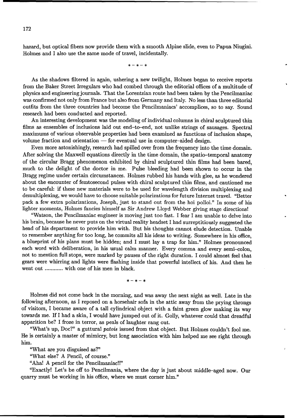hazard, but optical fibers now provide them with a smooth Alpine slide, even to Papua Niugini. Holmes and I also use the same mode of travel, incidentally.

 $* - * - *$ 

As the shadows filtered in again, ushering a new twilight, Holmes began to receive reports from the Baker Street Irregulars who had combed through the editorial offices of a multitude of physics and engineering journals. That the Lorentzian route had been taken by the Pencilmaniac was confirmed not only from France but also from Germany and Italy. No less than three editorial outfits from the three countries had become the Pencilmaniacs' accomplices, so to say. Sound research had been conducted and reported.

An interesting development was the modeling of individual columns in chiral sculptured thin films as ensembles of inclusions laid out end-to-end, not unlike strings of sausages. Spectral maximums of various observable properties had been examined as functions of inclusion shape, volume fraction and orientation — for eventual use in computer-aided design.

Even more astonishingly, research had spilled over from the frequency into the time domain. After solving the Maxwell equations directly in the time domain, the spatio-temporal anatomy of the circular Bragg phenomenon exhibited by chiral sculptured thin films had been bared, much to the delight of the doctor in me. Pulse bleeding had been shown to occur in the Bragg regime under certain circumstances. Holmes rubbed his hands with glee, as he wondered about the encounter of femtosecond pulses with chiral sculptured thin films, and cautioned me to be careful: if these new materials were to be used for wavelength division multiplexing and demultiplexing, we would have to choose suitable polarizations for future Internet travel. "Better pack a few extra polarizations, Joseph, just to stand out from the hoi polloi." In some of his lighter moments, Holmes fancies himself as Sir Andrew Lloyd Webber giving stage directions!

"Watson, the Pencilmaniac engineer is moving just too fast. I fear I am unable to delve into his brain, because he never puts on the virtual reality headset I had surreptitiously suggested the head of his department to provide him with. But his thoughts cannot elude detection. Unable to remember anything for too long, he commits all his ideas to writing. Somewhere in his office, a blueprint of his plans must be hidden; and I must lay a trap for him." Holmes pronounced each word with deliberation, in his usual calm manner. Every comma and every semi-colon, not to mention full stops, were marked by pauses of the right duration. I could almost feel that gears were whirring and lights were flashing inside that powerful intellect of his. And then he went out ............ with one of his men in black.

 $* - * - *$ 

Holmes did not come back in the morning, and was away the next night as well. Late in the following afternoon, as I reposed on a horsehair sofa in the attic away from the prying throngs of visitors, I became aware of a tall cylindrical object with a faint green glow making its way towards me. If I had a skin, I would have jumped out of it. Golly, whatever could that dreadful apparition be? I froze in terror, as peals of laughter rang out.

"What's up, Doc?" a guttural patois issued from that object. But Holmes couldn't fool me. He is certainly a master of mimicry, but long association with him helped me see right through him.

"What are you disguised as?"

"What else? A Pencil, of course."

"Aha! A pencil for the Pencilmaniac!!"

"Exactly! Let's be off to Pencilmania, where the day is just about middle-aged now. Our quarry must be working in his office, where we must corner him."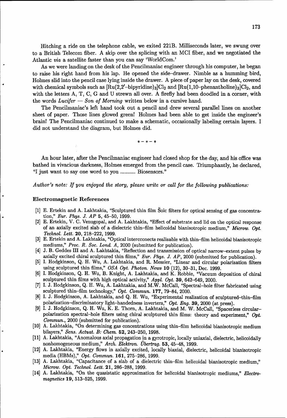Hitching a ride on the telephone cable, we exited 221B. Milliseconds later, we swung over to a British Telecom fiber. A skip over the splicing with an MCI fiber, and we negotiated the Atlantic via a satellite faster than you can say 'WorldCom.'

As we were landing on the desk of the Pencilmaniac engineer through his computer, he began to raise his right hand from his lap. He opened the side-drawer. Nimble as a humming bird, Holmes slid into the pencil case lying inside the drawer. A piece of paper lay on the desk, covered with chemical symbols such as  $\text{Ru}(2,2'-\text{bipyridine})_3\text{Cl}_2$  and  $\text{Ru}(1,10-\text{phenantholine})_3\text{Cl}_2$ , and with the letters A, T, C, G and U strewn all over. A firefly had been doodled in a corner, with the words *Lucifer* - *Son of Morning* written below in a cursive hand.

The Pencilmaniac's left hand took out a pencil and drew several parallel lines on another sheet of paper. Those lines glowed green! Holmes had been able to get inside the engineer's brain! The Pencilmaniac continued to make a schematic, occasionally labeling certain layers. I did not understand the diagram, but Holmes did.

 $\dot{x} - \dot{x} - \dot{x}$ 

An hour later, after the Pencilmaniac engineer had closed shop for the day, and his office was bathed in vivacious darkness, Holmes emerged from the pencil case. Triumphantly, he declared, "I just want to say one word to you .......... Biosensors."

*Author's note: If* you enjoyed *the story, please* write or call *for the* following publications:

#### Electromagnetic References

- [1] E. Ertekin and A. Lakhtakia, "Sculptured thin film Solc filters for optical sensing of gas concentration," Eur. *Phys. J. AP* 5, 45-50, 1999.
- [2] E. Ertekin, V. C. Venugopal, and A. Lakhtakia, "Effect of substrate and lid on the optical response of an axially excited slab of a dielectric thin-film helicoidal bianisotropic medium," *Microw. Opt. Technol. Lett.* 20, 218-222, 1999.
- [3] E. Ertekin and A. Lakhtakia, "Optical intercconects realizable with thin-film helicoidal bianisotropic mediums," *Proc. R. Soc. Lond. A,* 2000 (submitted for publication).
- [4] **J.** B. Geddes III and A. Lakhtakia, "Reflection and transmission of optical narrow-extent pulses by axially excited chiral sculptured thin films," Eur. *Phys. J. AP,* 2000 (submitted for publication).
- [5] I. Hodgkinson, Q. H. Wu, A. Lakhtakia, and R. Messier, "Linear and circular polarization filters using sculptured thin films," *OSA Opt. Photon. News* **10** (12), 30-31, Dec. 1999.
- [6] I. Hodgkinson, Q. H. Wu, B. Knight, A. Lakhtakia, and K. Robbie, "Vacuum deposition of chiral sculptured thin films with high optical activity," *Appl. Opt.* **39,** 642-649, 2000.
- [7] I. J. Hodgkinson, Q. H. Wu, A. Lakhtakia, and M.W. McCall, "Spectral-hole filter fabricated using sculptured thin-film technology," Opt. Commun. **177,** 79-84, 2000.
- [8] I. J. Hodgkinson, A. Lakhtakia, and Q. H. Wu, "Experimental realization of sculptured-thin-film polarization-discriminatory light-handedness inverters," Opt. Eng. **39,** 2000 (at press).
- [9] I. **J.** Hodgkinson, Q. H. Wu, K. E. Thorn, A. Lakhtakia, and M. W. McCall, "Spacerless circularpolarization spectral-hole filters using chiral sculptured thin films: theory and experiment," Opt. Commun., 2000 (submitted for publication).
- [10] A. Lakhtakia, "On determining gas concentrations using thin-film helicoidal bianisotropic medium bilayers," Sens. *Actuat.* B: Chem. 52, 243-250, 1998.
- [11] A. Lakhtakia, "Anomalous axial propagation in a gyrotropic, locally uniaxial, dielectric, helicoidally nonhomogeneous medium," Arch. *Elektron.* Ubertrag. **53,** 45-48, 1999.
- [12] A. Lakhtakia, "Energy flows in axially excited, locally biaxial, dielectric, helicoidal bianisotropic media (HBMs)," Opt. Commun. **161, 275-286, 1999.**
- **[13]** A. Lakhtakia, "Capacitance of a slab of a dielectric thin-film helicoidal bianisotropic medium," *Microw. Opt. Technol. Left.* 21, **286-288, 1999.**
- [14] A. Lakhtakia, "On the quasistatic approximation for helicoidal bianisotropic mediums," Electromagnetics 19, 513-525, 1999.